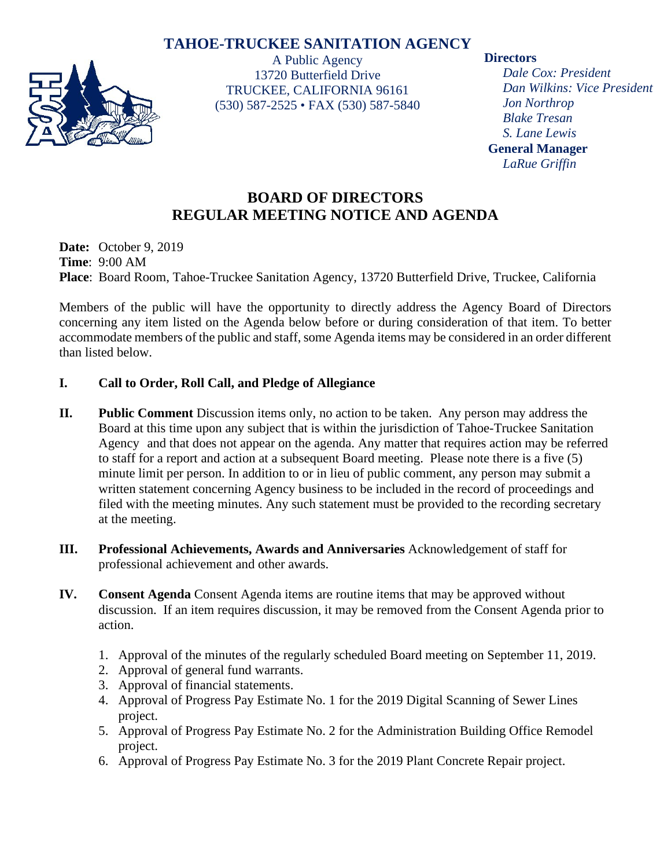# **TAHOE-TRUCKEE SANITATION AGENCY**



A Public Agency 13720 Butterfield Drive TRUCKEE, CALIFORNIA 96161 (530) 587-2525 • FAX (530) 587-5840

#### **Directors**

*Dale Cox: President Dan Wilkins: Vice President Jon Northrop Blake Tresan S. Lane Lewis* **General Manager** *LaRue Griffin*

# **BOARD OF DIRECTORS REGULAR MEETING NOTICE AND AGENDA**

**Date:** October 9, 2019 **Time**: 9:00 AM **Place**: Board Room, Tahoe-Truckee Sanitation Agency, 13720 Butterfield Drive, Truckee, California

Members of the public will have the opportunity to directly address the Agency Board of Directors concerning any item listed on the Agenda below before or during consideration of that item. To better accommodate members of the public and staff, some Agenda items may be considered in an order different than listed below.

## **I. Call to Order, Roll Call, and Pledge of Allegiance**

- **II. Public Comment** Discussion items only, no action to be taken. Any person may address the Board at this time upon any subject that is within the jurisdiction of Tahoe-Truckee Sanitation Agency and that does not appear on the agenda. Any matter that requires action may be referred to staff for a report and action at a subsequent Board meeting. Please note there is a five (5) minute limit per person. In addition to or in lieu of public comment, any person may submit a written statement concerning Agency business to be included in the record of proceedings and filed with the meeting minutes. Any such statement must be provided to the recording secretary at the meeting.
- **III. Professional Achievements, Awards and Anniversaries** Acknowledgement of staff for professional achievement and other awards.
- **IV. Consent Agenda** Consent Agenda items are routine items that may be approved without discussion. If an item requires discussion, it may be removed from the Consent Agenda prior to action.
	- 1. Approval of the minutes of the regularly scheduled Board meeting on September 11, 2019.
	- 2. Approval of general fund warrants.
	- 3. Approval of financial statements.
	- 4. Approval of Progress Pay Estimate No. 1 for the 2019 Digital Scanning of Sewer Lines project.
	- 5. Approval of Progress Pay Estimate No. 2 for the Administration Building Office Remodel project.
	- 6. Approval of Progress Pay Estimate No. 3 for the 2019 Plant Concrete Repair project.